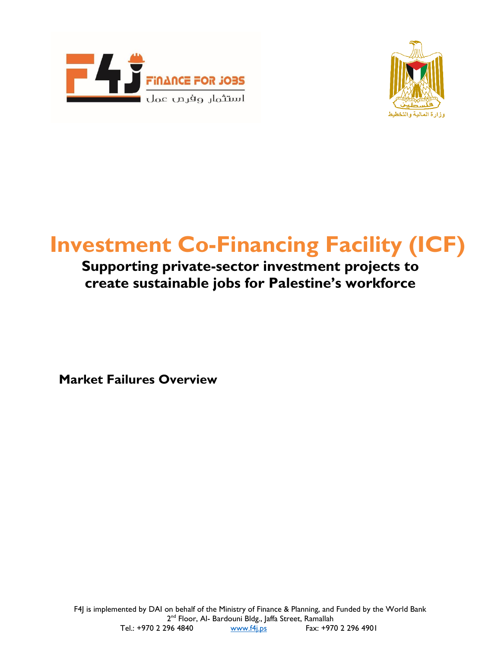



## **Investment Co-Financing Facility (ICF)**

## **Supporting private-sector investment projects to create sustainable jobs for Palestine's workforce**

**Market Failures Overview**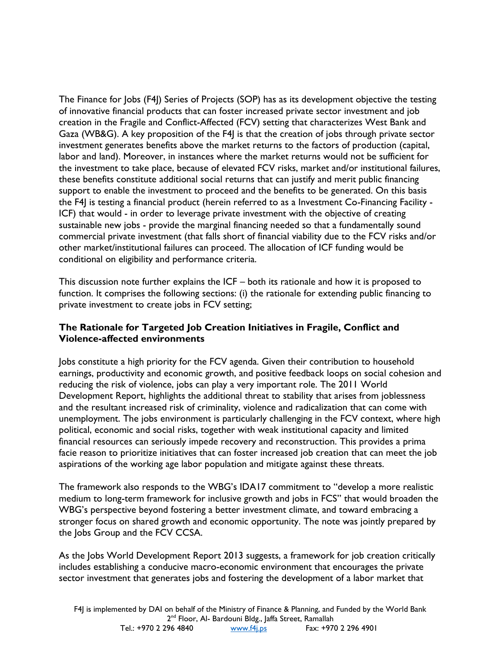The Finance for Jobs (F4J) Series of Projects (SOP) has as its development objective the testing of innovative financial products that can foster increased private sector investment and job creation in the Fragile and Conflict-Affected (FCV) setting that characterizes West Bank and Gaza (WB&G). A key proposition of the F4J is that the creation of jobs through private sector investment generates benefits above the market returns to the factors of production (capital, labor and land). Moreover, in instances where the market returns would not be sufficient for the investment to take place, because of elevated FCV risks, market and/or institutional failures, these benefits constitute additional social returns that can justify and merit public financing support to enable the investment to proceed and the benefits to be generated. On this basis the F4J is testing a financial product (herein referred to as a Investment Co-Financing Facility - ICF) that would - in order to leverage private investment with the objective of creating sustainable new jobs - provide the marginal financing needed so that a fundamentally sound commercial private investment (that falls short of financial viability due to the FCV risks and/or other market/institutional failures can proceed. The allocation of ICF funding would be conditional on eligibility and performance criteria.

This discussion note further explains the ICF – both its rationale and how it is proposed to function. It comprises the following sections: (i) the rationale for extending public financing to private investment to create jobs in FCV setting;

## **The Rationale for Targeted Job Creation Initiatives in Fragile, Conflict and Violence-affected environments**

Jobs constitute a high priority for the FCV agenda. Given their contribution to household earnings, productivity and economic growth, and positive feedback loops on social cohesion and reducing the risk of violence, jobs can play a very important role. The 2011 World Development Report, highlights the additional threat to stability that arises from joblessness and the resultant increased risk of criminality, violence and radicalization that can come with unemployment. The jobs environment is particularly challenging in the FCV context, where high political, economic and social risks, together with weak institutional capacity and limited financial resources can seriously impede recovery and reconstruction. This provides a prima facie reason to prioritize initiatives that can foster increased job creation that can meet the job aspirations of the working age labor population and mitigate against these threats.

The framework also responds to the WBG's IDA17 commitment to "develop a more realistic medium to long-term framework for inclusive growth and jobs in FCS" that would broaden the WBG's perspective beyond fostering a better investment climate, and toward embracing a stronger focus on shared growth and economic opportunity. The note was jointly prepared by the Jobs Group and the FCV CCSA.

As the Jobs World Development Report 2013 suggests, a framework for job creation critically includes establishing a conducive macro-economic environment that encourages the private sector investment that generates jobs and fostering the development of a labor market that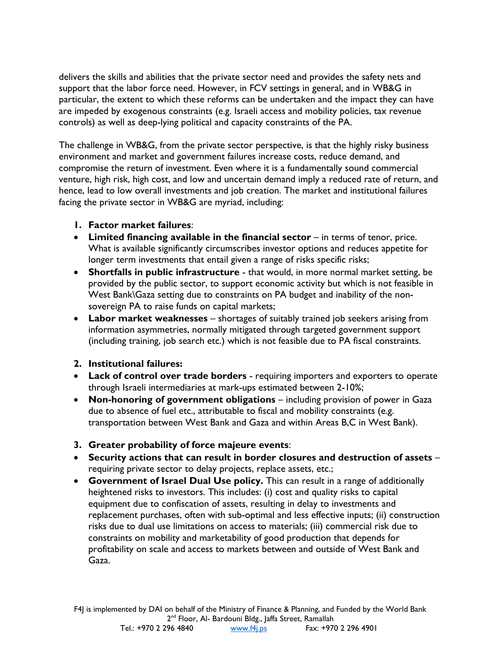delivers the skills and abilities that the private sector need and provides the safety nets and support that the labor force need. However, in FCV settings in general, and in WB&G in particular, the extent to which these reforms can be undertaken and the impact they can have are impeded by exogenous constraints (e.g. Israeli access and mobility policies, tax revenue controls) as well as deep-lying political and capacity constraints of the PA.

The challenge in WB&G, from the private sector perspective, is that the highly risky business environment and market and government failures increase costs, reduce demand, and compromise the return of investment. Even where it is a fundamentally sound commercial venture, high risk, high cost, and low and uncertain demand imply a reduced rate of return, and hence, lead to low overall investments and job creation. The market and institutional failures facing the private sector in WB&G are myriad, including:

- **1. Factor market failures**:
- **Limited financing available in the financial sector**  in terms of tenor, price. What is available significantly circumscribes investor options and reduces appetite for longer term investments that entail given a range of risks specific risks;
- **Shortfalls in public infrastructure**  that would, in more normal market setting, be provided by the public sector, to support economic activity but which is not feasible in West Bank\Gaza setting due to constraints on PA budget and inability of the nonsovereign PA to raise funds on capital markets;
- **Labor market weaknesses**  shortages of suitably trained job seekers arising from information asymmetries, normally mitigated through targeted government support (including training, job search etc.) which is not feasible due to PA fiscal constraints.
- **2. Institutional failures:**
- **Lack of control over trade borders**  requiring importers and exporters to operate through Israeli intermediaries at mark-ups estimated between 2-10%;
- **Non-honoring of government obligations** including provision of power in Gaza due to absence of fuel etc., attributable to fiscal and mobility constraints (e.g. transportation between West Bank and Gaza and within Areas B,C in West Bank).
- **3. Greater probability of force majeure events**:
- **Security actions that can result in border closures and destruction of assets**  requiring private sector to delay projects, replace assets, etc.;
- **Government of Israel Dual Use policy.** This can result in a range of additionally heightened risks to investors. This includes: (i) cost and quality risks to capital equipment due to confiscation of assets, resulting in delay to investments and replacement purchases, often with sub-optimal and less effective inputs; (ii) construction risks due to dual use limitations on access to materials; (iii) commercial risk due to constraints on mobility and marketability of good production that depends for profitability on scale and access to markets between and outside of West Bank and Gaza.